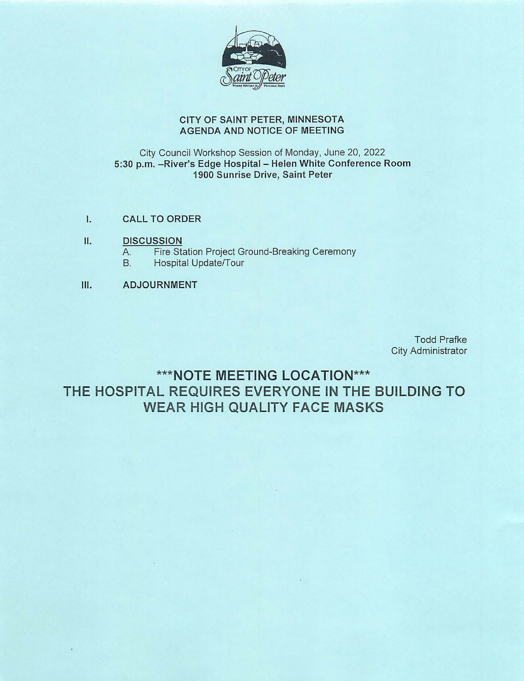

#### CITY OF SAINT PETER, MINNESOTA AGENDA AND NOTICE OF MEETING

### City Council Workshop Session of Monday, June 20, 2022 5:30 p.m. - River's Edge Hospital - Helen White Conference Room 1900 Sunrise Drive, Saint Peter

- I. CALL TO ORDER
- II. DISCUSSION
	- A. Fire Station Project Ground-Breaking Ceremony
	- B. Hospital Update/Tour
- Ill. ADJOURNMENT

Todd Prafke City Administrator

**\*\*\*NOTE MEETING LOCATION\*\*\* THE HOSPITAL REQUIRES EVERYONE IN THE BUILDING TO WEAR HIGH QUALITY FACE MASKS**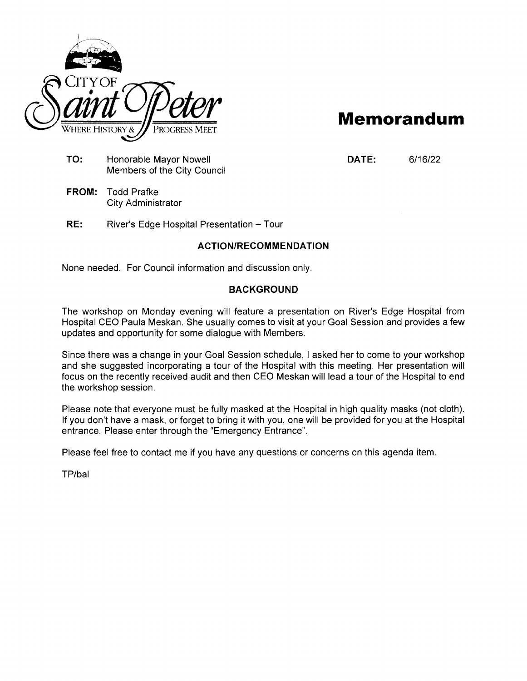

# **Memorandum**

**TO:** Honorable Mayor Nowell Members of the City Council **DATE:** 6/16/22

- **FROM:** Todd Prafke City Administrator
- **RE:** River's Edge Hospital Presentation- Tour

## **ACTION/RECOMMENDATION**

None needed. For Council information and discussion only.

#### **BACKGROUND**

The workshop on Monday evening will feature a presentation on River's Edge Hospital from Hospital CEO Paula Meskan. She usually comes to visit at your Goal Session and provides a few updates and opportunity for some dialogue with Members.

Since there was a change in your Goal Session schedule, I asked her to come to your workshop and she suggested incorporating a tour of the Hospital with this meeting. Her presentation will focus on the recently received audit and then CEO Meskan will lead a tour of the Hospital to end the workshop session.

Please note that everyone must be fully masked at the Hospital in high quality masks (not cloth). If you don't have a mask, or forget to bring it with you, one will be provided for you at the Hospital entrance. Please enter through the "Emergency Entrance".

Please feel free to contact me if you have any questions or concerns on this agenda item.

TP/bal